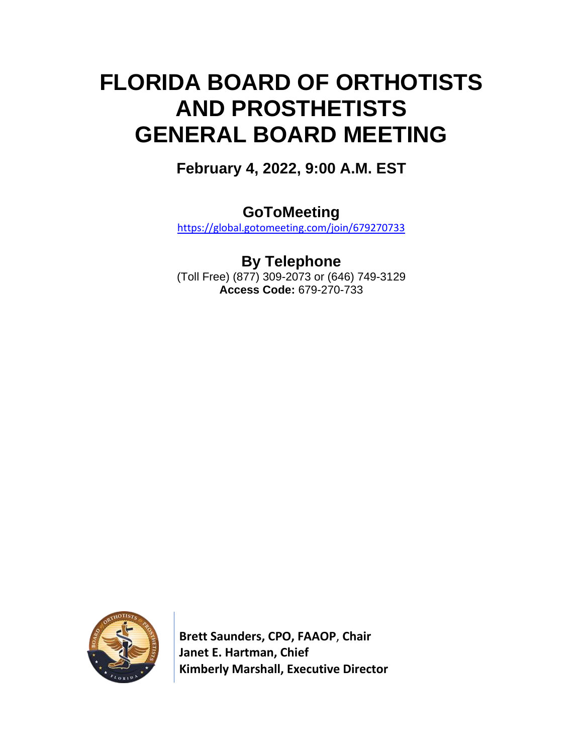# **FLORIDA BOARD OF ORTHOTISTS AND PROSTHETISTS GENERAL BOARD MEETING**

**February 4, 2022, 9:00 A.M. EST**

**GoToMeeting**

<https://global.gotomeeting.com/join/679270733>

**By Telephone** (Toll Free) (877) 309-2073 or (646) 749-3129 **Access Code:** 679-270-733



 **Brett Saunders, CPO, FAAOP**, **Chair Janet E. Hartman, Chief Kimberly Marshall, Executive Director**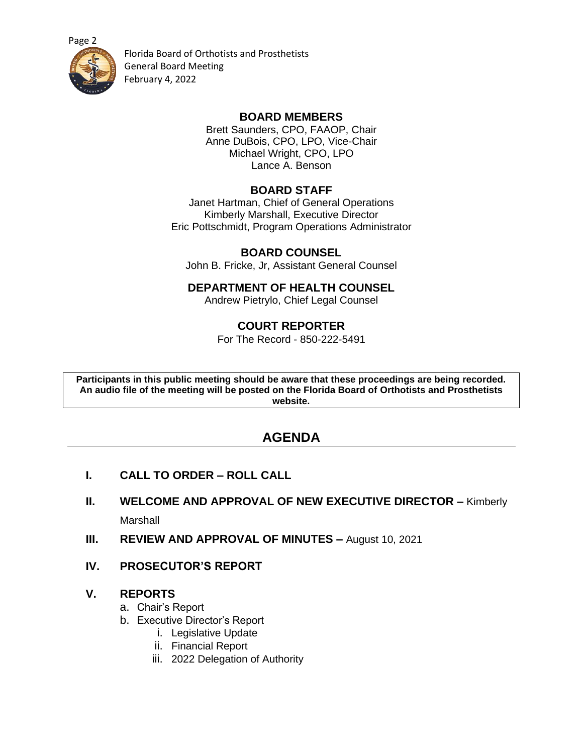



Florida Board of Orthotists and Prosthetists General Board Meeting February 4, 2022

#### **BOARD MEMBERS**

Brett Saunders, CPO, FAAOP, Chair Anne DuBois, CPO, LPO, Vice-Chair Michael Wright, CPO, LPO Lance A. Benson

## **BOARD STAFF**

Janet Hartman, Chief of General Operations Kimberly Marshall, Executive Director Eric Pottschmidt, Program Operations Administrator

## **BOARD COUNSEL**

John B. Fricke, Jr, Assistant General Counsel

## **DEPARTMENT OF HEALTH COUNSEL**

Andrew Pietrylo, Chief Legal Counsel

## **COURT REPORTER**

For The Record - 850-222-5491

**Participants in this public meeting should be aware that these proceedings are being recorded. An audio file of the meeting will be posted on the Florida Board of Orthotists and Prosthetists website.**

## **AGENDA**

- **I. CALL TO ORDER – ROLL CALL**
- **II. WELCOME AND APPROVAL OF NEW EXECUTIVE DIRECTOR –** Kimberly Marshall
- **III. REVIEW AND APPROVAL OF MINUTES –** August 10, 2021
- **IV. PROSECUTOR'S REPORT**

#### **V. REPORTS**

- a. Chair's Report
- b. Executive Director's Report
	- i. Legislative Update
	- ii. Financial Report
	- iii. 2022 Delegation of Authority